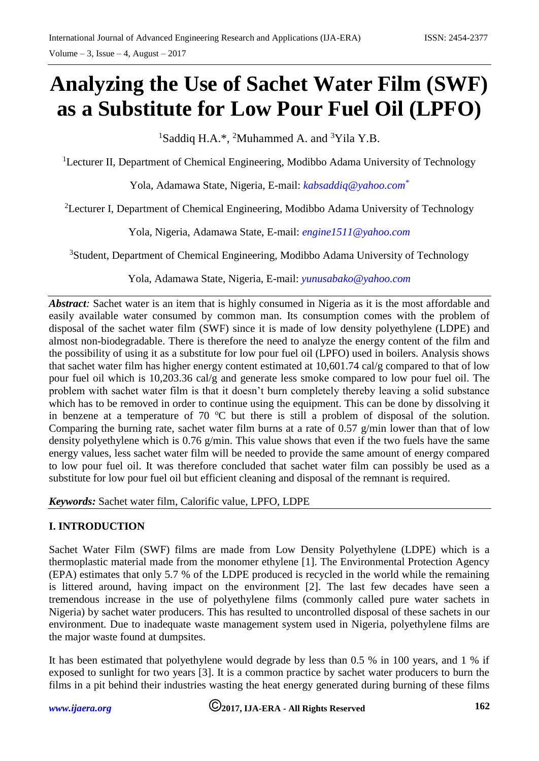# **Analyzing the Use of Sachet Water Film (SWF) as a Substitute for Low Pour Fuel Oil (LPFO)**

<sup>1</sup>Saddiq H.A.\*, <sup>2</sup>Muhammed A. and <sup>3</sup>Yila Y.B.

<sup>1</sup>Lecturer II, Department of Chemical Engineering, Modibbo Adama University of Technology

Yola, Adamawa State, Nigeria, E-mail: *[kabsaddiq@yahoo.com](mailto:kabsaddiq@yahoo.com*)\**

<sup>2</sup>Lecturer I, Department of Chemical Engineering, Modibbo Adama University of Technology

Yola, Nigeria, Adamawa State, E-mail: *[engine1511@yahoo.com](mailto:engine1511@yahoo.com)* 

<sup>3</sup>Student, Department of Chemical Engineering, Modibbo Adama University of Technology

Yola, Adamawa State, Nigeria, E-mail: *[yunusabako@yahoo.com](mailto:yunusabako@yahoo.com)* 

*Abstract*: Sachet water is an item that is highly consumed in Nigeria as it is the most affordable and easily available water consumed by common man. Its consumption comes with the problem of disposal of the sachet water film (SWF) since it is made of low density polyethylene (LDPE) and almost non-biodegradable. There is therefore the need to analyze the energy content of the film and the possibility of using it as a substitute for low pour fuel oil (LPFO) used in boilers. Analysis shows that sachet water film has higher energy content estimated at 10,601.74 cal/g compared to that of low pour fuel oil which is 10,203.36 cal/g and generate less smoke compared to low pour fuel oil. The problem with sachet water film is that it doesn't burn completely thereby leaving a solid substance which has to be removed in order to continue using the equipment. This can be done by dissolving it in benzene at a temperature of  $70^{\circ}$ C but there is still a problem of disposal of the solution. Comparing the burning rate, sachet water film burns at a rate of 0.57 g/min lower than that of low density polyethylene which is 0.76 g/min. This value shows that even if the two fuels have the same energy values, less sachet water film will be needed to provide the same amount of energy compared to low pour fuel oil. It was therefore concluded that sachet water film can possibly be used as a substitute for low pour fuel oil but efficient cleaning and disposal of the remnant is required.

*Keywords:* Sachet water film, Calorific value, LPFO, LDPE

# **I. INTRODUCTION**

Sachet Water Film (SWF) films are made from Low Density Polyethylene (LDPE) which is a thermoplastic material made from the monomer ethylene [1]. The Environmental Protection Agency (EPA) estimates that only 5.7 % of the LDPE produced is recycled in the world while the remaining is littered around, having impact on the environment [2]. The last few decades have seen a tremendous increase in the use of polyethylene films (commonly called pure water sachets in Nigeria) by sachet water producers. This has resulted to uncontrolled disposal of these sachets in our environment. Due to inadequate waste management system used in Nigeria, polyethylene films are the major waste found at dumpsites.

It has been estimated that polyethylene would degrade by less than 0.5 % in 100 years, and 1 % if exposed to sunlight for two years [3]. It is a common practice by sachet water producers to burn the films in a pit behind their industries wasting the heat energy generated during burning of these films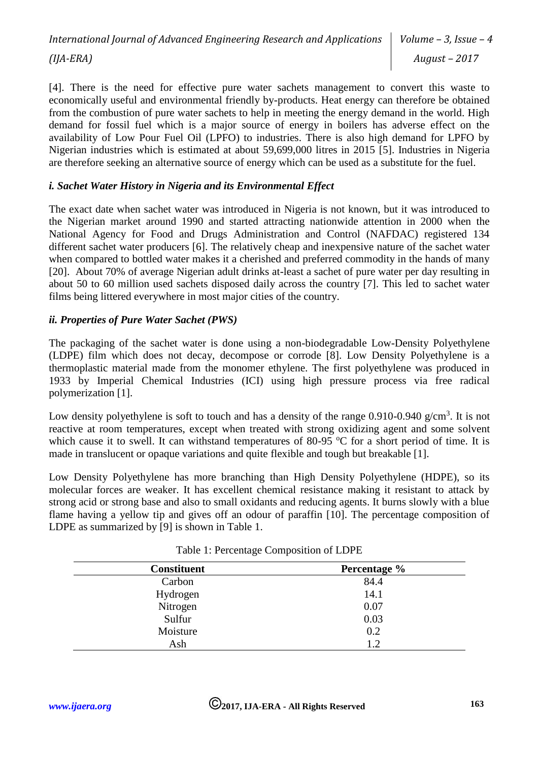*International Journal of Advanced Engineering Research and Applications (IJA-ERA)*

[4]. There is the need for effective pure water sachets management to convert this waste to economically useful and environmental friendly by-products. Heat energy can therefore be obtained from the combustion of pure water sachets to help in meeting the energy demand in the world. High demand for fossil fuel which is a major source of energy in boilers has adverse effect on the availability of Low Pour Fuel Oil (LPFO) to industries. There is also high demand for LPFO by Nigerian industries which is estimated at about 59,699,000 litres in 2015 [5]. Industries in Nigeria are therefore seeking an alternative source of energy which can be used as a substitute for the fuel.

# *i. Sachet Water History in Nigeria and its Environmental Effect*

The exact date when sachet water was introduced in Nigeria is not known, but it was introduced to the Nigerian market around 1990 and started attracting nationwide attention in 2000 when the National Agency for Food and Drugs Administration and Control (NAFDAC) registered 134 different sachet water producers [6]. The relatively cheap and inexpensive nature of the sachet water when compared to bottled water makes it a cherished and preferred commodity in the hands of many [20]. About 70% of average Nigerian adult drinks at-least a sachet of pure water per day resulting in about 50 to 60 million used sachets disposed daily across the country [7]. This led to sachet water films being littered everywhere in most major cities of the country.

# *ii. Properties of Pure Water Sachet (PWS)*

The packaging of the sachet water is done using a non-biodegradable Low-Density Polyethylene (LDPE) film which does not decay, decompose or corrode [8]. Low Density Polyethylene is a thermoplastic material made from the monomer ethylene. The first polyethylene was produced in 1933 by Imperial Chemical Industries (ICI) using high pressure process via free radical polymerization [1].

Low density polyethylene is soft to touch and has a density of the range  $0.910$ - $0.940$  g/cm<sup>3</sup>. It is not reactive at room temperatures, except when treated with strong oxidizing agent and some solvent which cause it to swell. It can withstand temperatures of 80-95  $\degree$ C for a short period of time. It is made in translucent or opaque variations and quite flexible and tough but breakable [1].

Low Density Polyethylene has more branching than High Density Polyethylene (HDPE), so its molecular forces are weaker. It has excellent chemical resistance making it resistant to attack by strong acid or strong base and also to small oxidants and reducing agents. It burns slowly with a blue flame having a yellow tip and gives off an odour of paraffin [10]. The percentage composition of LDPE as summarized by [9] is shown in Table 1.

| <b>Constituent</b> | Percentage % |
|--------------------|--------------|
| Carbon             | 84.4         |
| Hydrogen           | 14.1         |
| Nitrogen           | 0.07         |
| Sulfur             | 0.03         |
| Moisture           | 0.2          |
| Ash                | 1.2          |

| Table 1: Percentage Composition of LDPE |
|-----------------------------------------|
|-----------------------------------------|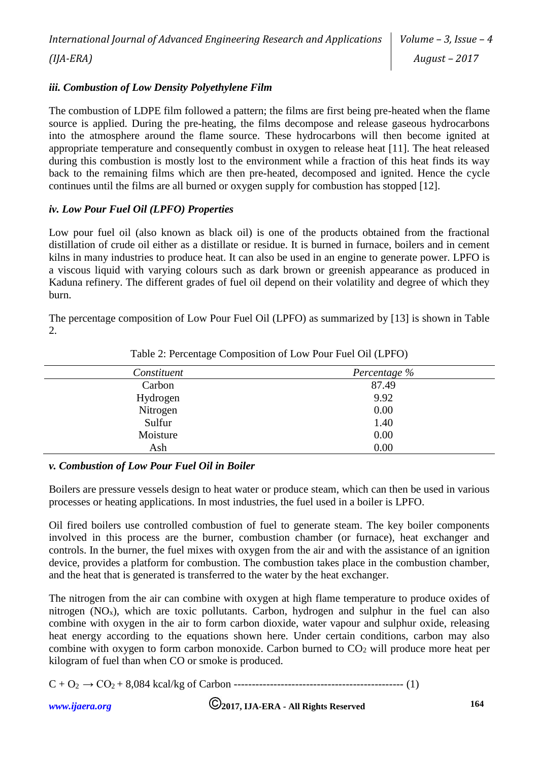# *iii. Combustion of Low Density Polyethylene Film*

The combustion of LDPE film followed a pattern; the films are first being pre-heated when the flame source is applied. During the pre-heating, the films decompose and release gaseous hydrocarbons into the atmosphere around the flame source. These hydrocarbons will then become ignited at appropriate temperature and consequently combust in oxygen to release heat [11]. The heat released during this combustion is mostly lost to the environment while a fraction of this heat finds its way back to the remaining films which are then pre-heated, decomposed and ignited. Hence the cycle continues until the films are all burned or oxygen supply for combustion has stopped [12].

#### *iv. Low Pour Fuel Oil (LPFO) Properties*

Low pour fuel oil (also known as black oil) is one of the products obtained from the fractional distillation of crude oil either as a distillate or residue. It is burned in furnace, boilers and in cement kilns in many industries to produce heat. It can also be used in an engine to generate power. LPFO is a viscous liquid with varying colours such as dark brown or greenish appearance as produced in Kaduna refinery. The different grades of fuel oil depend on their volatility and degree of which they burn.

The percentage composition of Low Pour Fuel Oil (LPFO) as summarized by [13] is shown in Table 2.

| Constituent | Percentage % |
|-------------|--------------|
| Carbon      | 87.49        |
| Hydrogen    | 9.92         |
| Nitrogen    | 0.00         |
| Sulfur      | 1.40         |
| Moisture    | 0.00         |
| Ash         | 0.00         |

Table 2: Percentage Composition of Low Pour Fuel Oil (LPFO)

# *v. Combustion of Low Pour Fuel Oil in Boiler*

Boilers are pressure vessels design to heat water or produce steam, which can then be used in various processes or heating applications. In most industries, the fuel used in a boiler is LPFO.

Oil fired boilers use controlled combustion of fuel to generate steam. The key boiler components involved in this process are the burner, combustion chamber (or furnace), heat exchanger and controls. In the burner, the fuel mixes with oxygen from the air and with the assistance of an ignition device, provides a platform for combustion. The combustion takes place in the combustion chamber, and the heat that is generated is transferred to the water by the heat exchanger.

The nitrogen from the air can combine with oxygen at high flame temperature to produce oxides of nitrogen  $(NO_x)$ , which are toxic pollutants. Carbon, hydrogen and sulphur in the fuel can also combine with oxygen in the air to form carbon dioxide, water vapour and sulphur oxide, releasing heat energy according to the equations shown here. Under certain conditions, carbon may also combine with oxygen to form carbon monoxide. Carbon burned to  $CO<sub>2</sub>$  will produce more heat per kilogram of fuel than when CO or smoke is produced.

```
C + O2 → CO2 + 8,084 kcal/kg of Carbon ----------------------------------------------- (1)
```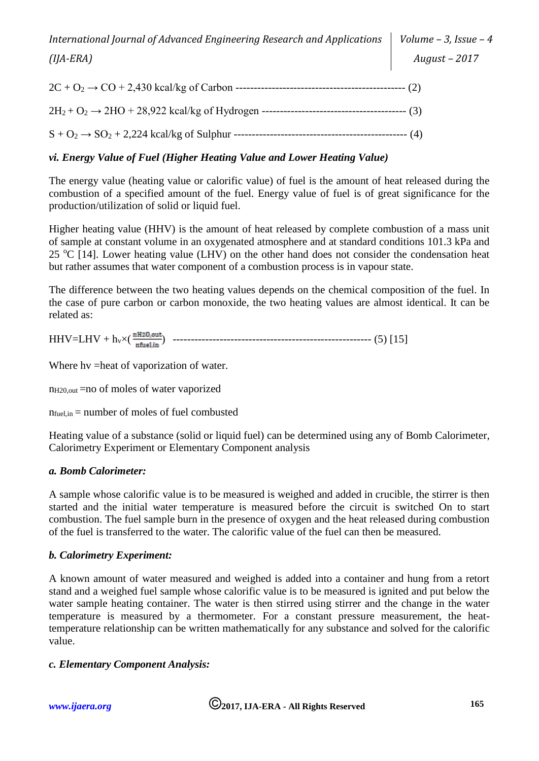# *vi. Energy Value of Fuel (Higher Heating Value and Lower Heating Value)*

The energy value (heating value or calorific value) of fuel is the amount of heat released during the combustion of a specified amount of the fuel. Energy value of fuel is of great significance for the production/utilization of solid or liquid fuel.

Higher heating value (HHV) is the amount of heat released by complete combustion of a mass unit of sample at constant volume in an oxygenated atmosphere and at standard conditions 101.3 kPa and 25  $\degree$ C [14]. Lower heating value (LHV) on the other hand does not consider the condensation heat but rather assumes that water component of a combustion process is in vapour state.

The difference between the two heating values depends on the chemical composition of the fuel. In the case of pure carbon or carbon monoxide, the two heating values are almost identical. It can be related as:

HHV=LHV + hv×( ) ------------------------------------------------------- (5) [15]

Where hy =heat of vaporization of water.

 $n_{H20,out}$  =no of moles of water vaporized

 $n_{fuel.in}$  = number of moles of fuel combusted

Heating value of a substance (solid or liquid fuel) can be determined using any of Bomb Calorimeter, Calorimetry Experiment or Elementary Component analysis

# *a. Bomb Calorimeter:*

A sample whose calorific value is to be measured is weighed and added in crucible, the stirrer is then started and the initial water temperature is measured before the circuit is switched On to start combustion. The fuel sample burn in the presence of oxygen and the heat released during combustion of the fuel is transferred to the water. The calorific value of the fuel can then be measured.

#### *b. Calorimetry Experiment:*

A known amount of water measured and weighed is added into a container and hung from a retort stand and a weighed fuel sample whose calorific value is to be measured is ignited and put below the water sample heating container. The water is then stirred using stirrer and the change in the water temperature is measured by a thermometer. For a constant pressure measurement, the heattemperature relationship can be written mathematically for any substance and solved for the calorific value.

#### *c. Elementary Component Analysis:*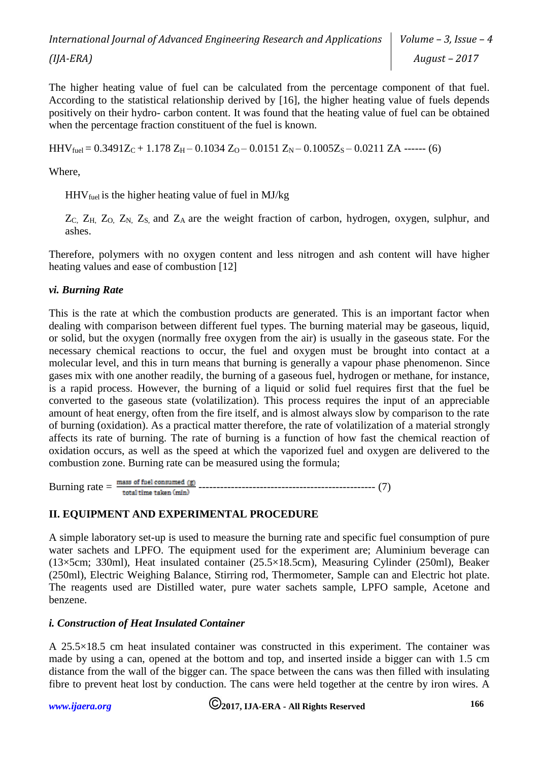The higher heating value of fuel can be calculated from the percentage component of that fuel. According to the statistical relationship derived by [16], the higher heating value of fuels depends positively on their hydro- carbon content. It was found that the heating value of fuel can be obtained when the percentage fraction constituent of the fuel is known.

 $HHV_{fuel} = 0.3491Z<sub>C</sub> + 1.178 Z<sub>H</sub> - 0.1034 Z<sub>O</sub> - 0.0151 Z<sub>N</sub> - 0.1005Z<sub>S</sub> - 0.0211 ZA$  ------ (6)

Where,

 $HHV_{fuel}$  is the higher heating value of fuel in MJ/kg

Z<sub>C</sub>, Z<sub>H</sub>, Z<sub>O</sub>, Z<sub>N</sub>, Z<sub>S</sub>, and Z<sub>A</sub> are the weight fraction of carbon, hydrogen, oxygen, sulphur, and ashes.

Therefore, polymers with no oxygen content and less nitrogen and ash content will have higher heating values and ease of combustion [12]

# *vi. Burning Rate*

This is the rate at which the combustion products are generated. This is an important factor when dealing with comparison between different fuel types. The burning material may be gaseous, liquid, or solid, but the oxygen (normally free oxygen from the air) is usually in the gaseous state. For the necessary chemical reactions to occur, the fuel and oxygen must be brought into contact at a molecular level, and this in turn means that burning is generally a vapour phase phenomenon. Since gases mix with one another readily, the burning of a gaseous fuel, hydrogen or methane, for instance, is a rapid process. However, the burning of a liquid or solid fuel requires first that the fuel be converted to the gaseous state (volatilization). This process requires the input of an appreciable amount of heat energy, often from the fire itself, and is almost always slow by comparison to the rate of burning (oxidation). As a practical matter therefore, the rate of volatilization of a material strongly affects its rate of burning. The rate of burning is a function of how fast the chemical reaction of oxidation occurs, as well as the speed at which the vaporized fuel and oxygen are delivered to the combustion zone. Burning rate can be measured using the formula;

Burning rate = ------------------------------------------------- (7)

# **II. EQUIPMENT AND EXPERIMENTAL PROCEDURE**

A simple laboratory set-up is used to measure the burning rate and specific fuel consumption of pure water sachets and LPFO. The equipment used for the experiment are; Aluminium beverage can (13×5cm; 330ml), Heat insulated container (25.5×18.5cm), Measuring Cylinder (250ml), Beaker (250ml), Electric Weighing Balance, Stirring rod, Thermometer, Sample can and Electric hot plate. The reagents used are Distilled water, pure water sachets sample, LPFO sample, Acetone and benzene.

# *i. Construction of Heat Insulated Container*

A 25.5×18.5 cm heat insulated container was constructed in this experiment. The container was made by using a can, opened at the bottom and top, and inserted inside a bigger can with 1.5 cm distance from the wall of the bigger can. The space between the cans was then filled with insulating fibre to prevent heat lost by conduction. The cans were held together at the centre by iron wires. A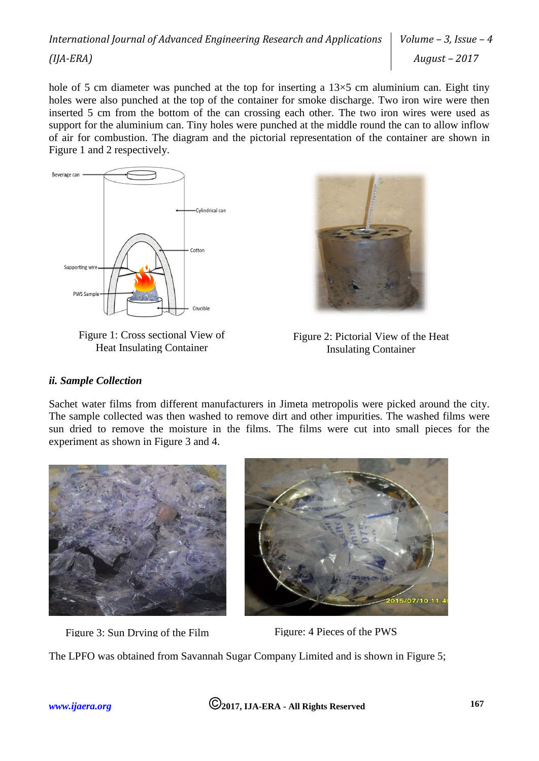hole of 5 cm diameter was punched at the top for inserting a  $13\times5$  cm aluminium can. Eight tiny holes were also punched at the top of the container for smoke discharge. Two iron wire were then inserted 5 cm from the bottom of the can crossing each other. The two iron wires were used as support for the aluminium can. Tiny holes were punched at the middle round the can to allow inflow of air for combustion. The diagram and the pictorial representation of the container are shown in Figure 1 and 2 respectively.



Figure 1: Cross sectional View of Heat Insulating Container



Figure 2: Pictorial View of the Heat Insulating Container

#### *ii. Sample Collection*

Sachet water films from different manufacturers in Jimeta metropolis were picked around the city. The sample collected was then washed to remove dirt and other impurities. The washed films were sun dried to remove the moisture in the films. The films were cut into small pieces for the experiment as shown in Figure 3 and 4.



Figure 3: Sun Drying of the Film Figure: 4 Pieces of the PWS



The LPFO was obtained from Savannah Sugar Company Limited and is shown in Figure 5;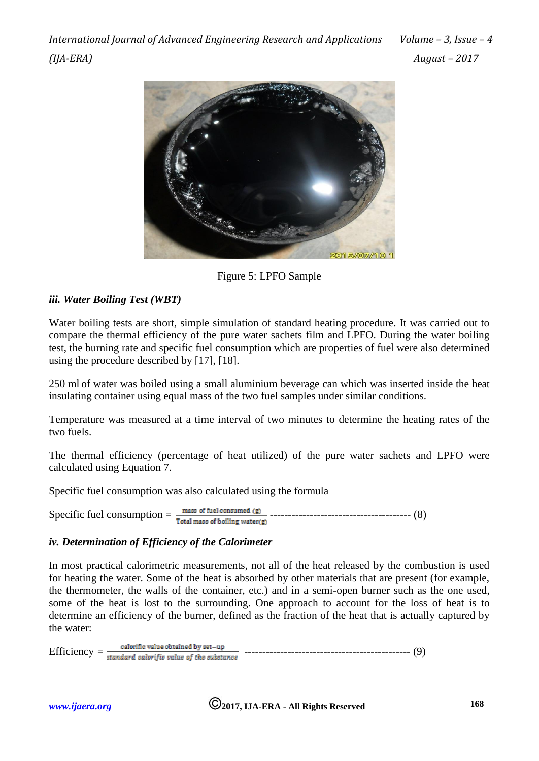*International Journal of Advanced Engineering Research and Applications (IJA-ERA)*

*Volume – 3, Issue – 4 August – 2017*



Figure 5: LPFO Sample

# *iii. Water Boiling Test (WBT)*

Water boiling tests are short, simple simulation of standard heating procedure. It was carried out to compare the thermal efficiency of the pure water sachets film and LPFO. During the water boiling test, the burning rate and specific fuel consumption which are properties of fuel were also determined using the procedure described by [17], [18].

250 ml of water was boiled using a small aluminium beverage can which was inserted inside the heat insulating container using equal mass of the two fuel samples under similar conditions.

Temperature was measured at a time interval of two minutes to determine the heating rates of the two fuels.

The thermal efficiency (percentage of heat utilized) of the pure water sachets and LPFO were calculated using Equation 7.

Specific fuel consumption was also calculated using the formula

Specific fuel consumption = --------------------------------------- (8)

# *iv. Determination of Efficiency of the Calorimeter*

In most practical calorimetric measurements, not all of the heat released by the combustion is used for heating the water. Some of the heat is absorbed by other materials that are present (for example, the thermometer, the walls of the container, etc.) and in a semi-open burner such as the one used, some of the heat is lost to the surrounding. One approach to account for the loss of heat is to determine an efficiency of the burner, defined as the fraction of the heat that is actually captured by the water:

Efficiency *=* ---------------------------------------------- (9)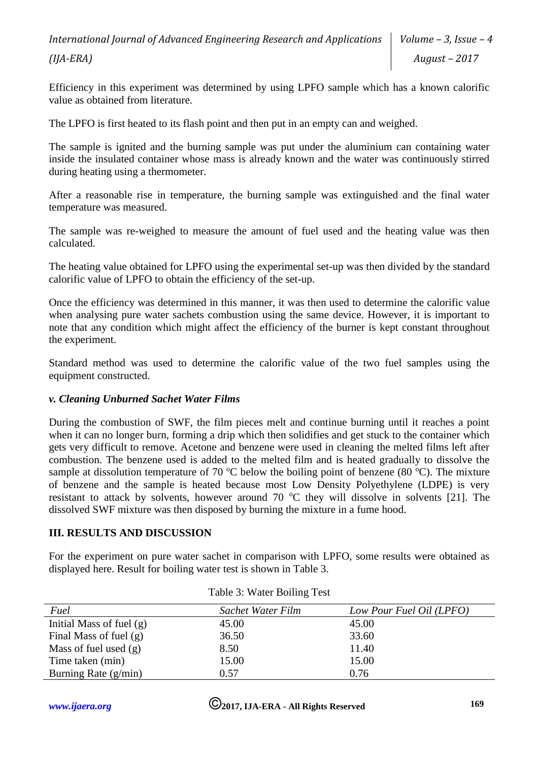Efficiency in this experiment was determined by using LPFO sample which has a known calorific value as obtained from literature.

The LPFO is first heated to its flash point and then put in an empty can and weighed.

The sample is ignited and the burning sample was put under the aluminium can containing water inside the insulated container whose mass is already known and the water was continuously stirred during heating using a thermometer.

After a reasonable rise in temperature, the burning sample was extinguished and the final water temperature was measured.

The sample was re-weighed to measure the amount of fuel used and the heating value was then calculated.

The heating value obtained for LPFO using the experimental set-up was then divided by the standard calorific value of LPFO to obtain the efficiency of the set-up.

Once the efficiency was determined in this manner, it was then used to determine the calorific value when analysing pure water sachets combustion using the same device. However, it is important to note that any condition which might affect the efficiency of the burner is kept constant throughout the experiment.

Standard method was used to determine the calorific value of the two fuel samples using the equipment constructed.

# *v. Cleaning Unburned Sachet Water Films*

During the combustion of SWF, the film pieces melt and continue burning until it reaches a point when it can no longer burn, forming a drip which then solidifies and get stuck to the container which gets very difficult to remove. Acetone and benzene were used in cleaning the melted films left after combustion. The benzene used is added to the melted film and is heated gradually to dissolve the sample at dissolution temperature of 70  $\degree$ C below the boiling point of benzene (80  $\degree$ C). The mixture of benzene and the sample is heated because most Low Density Polyethylene (LDPE) is very resistant to attack by solvents, however around 70  $\degree$ C they will dissolve in solvents [21]. The dissolved SWF mixture was then disposed by burning the mixture in a fume hood.

# **III. RESULTS AND DISCUSSION**

For the experiment on pure water sachet in comparison with LPFO, some results were obtained as displayed here. Result for boiling water test is shown in Table 3.

| Fuel                       | Sachet Water Film | Low Pour Fuel Oil (LPFO) |
|----------------------------|-------------------|--------------------------|
| Initial Mass of fuel $(g)$ | 45.00             | 45.00                    |
| Final Mass of fuel $(g)$   | 36.50             | 33.60                    |
| Mass of fuel used $(g)$    | 8.50              | 11.40                    |
| Time taken (min)           | 15.00             | 15.00                    |
| Burning Rate $(g/min)$     | 0.57              | 0.76                     |

| Table 3: Water Boiling Test |  |  |  |
|-----------------------------|--|--|--|
|-----------------------------|--|--|--|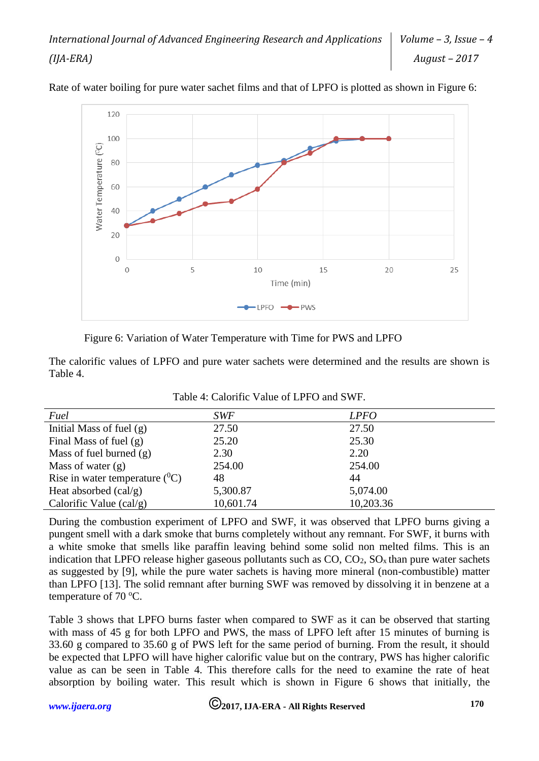

Rate of water boiling for pure water sachet films and that of LPFO is plotted as shown in Figure 6:

Figure 6: Variation of Water Temperature with Time for PWS and LPFO

The calorific values of LPFO and pure water sachets were determined and the results are shown is Table 4.

| Fuel                                      | <b>SWF</b> | <b>LPFO</b> |
|-------------------------------------------|------------|-------------|
| Initial Mass of fuel $(g)$                | 27.50      | 27.50       |
| Final Mass of fuel $(g)$                  | 25.20      | 25.30       |
| Mass of fuel burned $(g)$                 | 2.30       | 2.20        |
| Mass of water $(g)$                       | 254.00     | 254.00      |
| Rise in water temperature $({}^{0}C)$     | 48         | 44          |
| Heat absorbed $\left(\text{cal/g}\right)$ | 5,300.87   | 5,074.00    |
| Calorific Value $\text{(cal/g)}$          | 10,601.74  | 10,203.36   |

Table 4: Calorific Value of LPFO and SWF.

During the combustion experiment of LPFO and SWF, it was observed that LPFO burns giving a pungent smell with a dark smoke that burns completely without any remnant. For SWF, it burns with a white smoke that smells like paraffin leaving behind some solid non melted films. This is an indication that LPFO release higher gaseous pollutants such as  $CO$ ,  $CO<sub>2</sub>$ ,  $SO<sub>x</sub>$  than pure water sachets as suggested by [9], while the pure water sachets is having more mineral (non-combustible) matter than LPFO [13]. The solid remnant after burning SWF was removed by dissolving it in benzene at a temperature of  $70^{\circ}$ C.

Table 3 shows that LPFO burns faster when compared to SWF as it can be observed that starting with mass of 45 g for both LPFO and PWS, the mass of LPFO left after 15 minutes of burning is 33.60 g compared to 35.60 g of PWS left for the same period of burning. From the result, it should be expected that LPFO will have higher calorific value but on the contrary, PWS has higher calorific value as can be seen in Table 4. This therefore calls for the need to examine the rate of heat absorption by boiling water. This result which is shown in Figure 6 shows that initially, the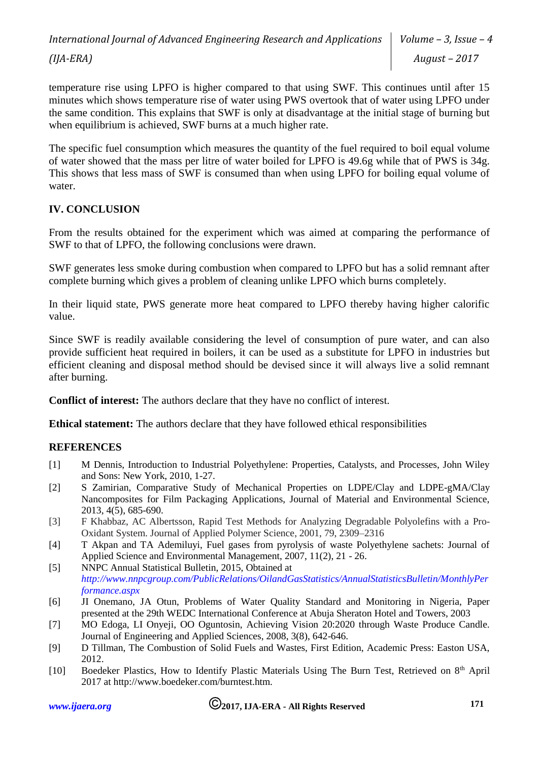temperature rise using LPFO is higher compared to that using SWF. This continues until after 15 minutes which shows temperature rise of water using PWS overtook that of water using LPFO under the same condition. This explains that SWF is only at disadvantage at the initial stage of burning but when equilibrium is achieved, SWF burns at a much higher rate.

The specific fuel consumption which measures the quantity of the fuel required to boil equal volume of water showed that the mass per litre of water boiled for LPFO is 49.6g while that of PWS is 34g. This shows that less mass of SWF is consumed than when using LPFO for boiling equal volume of water.

# **IV. CONCLUSION**

From the results obtained for the experiment which was aimed at comparing the performance of SWF to that of LPFO, the following conclusions were drawn.

SWF generates less smoke during combustion when compared to LPFO but has a solid remnant after complete burning which gives a problem of cleaning unlike LPFO which burns completely.

In their liquid state, PWS generate more heat compared to LPFO thereby having higher calorific value.

Since SWF is readily available considering the level of consumption of pure water, and can also provide sufficient heat required in boilers, it can be used as a substitute for LPFO in industries but efficient cleaning and disposal method should be devised since it will always live a solid remnant after burning.

**Conflict of interest:** The authors declare that they have no conflict of interest.

**Ethical statement:** The authors declare that they have followed ethical responsibilities

# **REFERENCES**

- [1] M Dennis, Introduction to Industrial Polyethylene: Properties, Catalysts, and Processes, John Wiley and Sons: New York, 2010, 1-27.
- [2] S Zamirian, Comparative Study of Mechanical Properties on LDPE/Clay and LDPE-gMA/Clay Nancomposites for Film Packaging Applications, Journal of Material and Environmental Science, 2013, 4(5), 685-690.
- [3] F Khabbaz, AC Albertsson, Rapid Test Methods for Analyzing Degradable Polyolefins with a Pro-Oxidant System. Journal of Applied Polymer Science, 2001, 79, 2309–2316
- [4] T Akpan and TA Ademiluyi, Fuel gases from pyrolysis of waste Polyethylene sachets: Journal of Applied Science and Environmental Management, 2007, 11(2), 21 - 26.
- [5] NNPC Annual Statistical Bulletin, 2015, Obtained at *[http://www.nnpcgroup.com/PublicRelations/OilandGasStatistics/AnnualStatisticsBulletin/MonthlyPer](http://www.nnpcgroup.com/PublicRelations/OilandGasStatistics/AnnualStatisticsBulletin/MonthlyPerformance.aspx) [formance.aspx](http://www.nnpcgroup.com/PublicRelations/OilandGasStatistics/AnnualStatisticsBulletin/MonthlyPerformance.aspx)*
- [6] JI Onemano, JA Otun, Problems of Water Quality Standard and Monitoring in Nigeria, Paper presented at the 29th WEDC International Conference at Abuja Sheraton Hotel and Towers, 2003
- [7] MO Edoga, LI Onyeji, OO Oguntosin, Achieving Vision 20:2020 through Waste Produce Candle. Journal of Engineering and Applied Sciences, 2008, 3(8), 642-646.
- [9] D Tillman, The Combustion of Solid Fuels and Wastes, First Edition, Academic Press: Easton USA, 2012.
- [10] Boedeker Plastics, How to Identify Plastic Materials Using The Burn Test, Retrieved on 8<sup>th</sup> April 2017 at http://www.boedeker.com/burntest.htm.